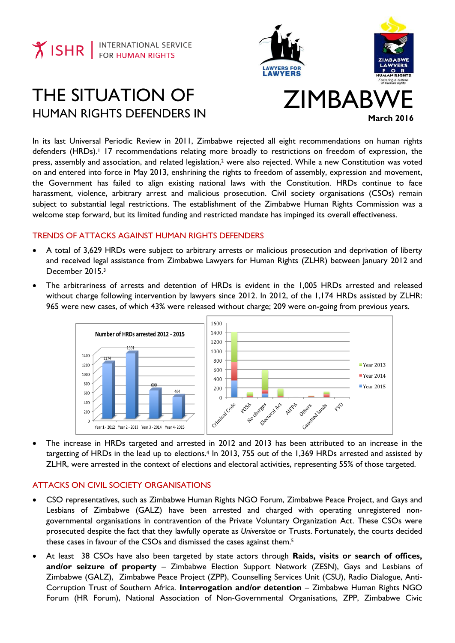

# THE SITUATION OF HUMAN RIGHTS DEFENDERS IN





# ZIMBABY **March 2016**

In its last Universal Periodic Review in 2011, Zimbabwe rejected all eight recommendations on human rights defenders (HRDs). <sup>1</sup> 17 recommendations relating more broadly to restrictions on freedom of expression, the press, assembly and association, and related legislation, <sup>2</sup> were also rejected. While a new Constitution was voted on and entered into force in May 2013, enshrining the rights to freedom of assembly, expression and movement, the Government has failed to align existing national laws with the Constitution. HRDs continue to face harassment, violence, arbitrary arrest and malicious prosecution. Civil society organisations (CSOs) remain subject to substantial legal restrictions. The establishment of the Zimbabwe Human Rights Commission was a welcome step forward, but its limited funding and restricted mandate has impinged its overall effectiveness.

# TRENDS OF ATTACKS AGAINST HUMAN RIGHTS DEFENDERS

- A total of 3,629 HRDs were subject to arbitrary arrests or malicious prosecution and deprivation of liberty and received legal assistance from Zimbabwe Lawyers for Human Rights (ZLHR) between January 2012 and December 2015.<sup>3</sup>
- The arbitrariness of arrests and detention of HRDs is evident in the 1,005 HRDs arrested and released without charge following intervention by lawyers since 2012. In 2012, of the 1,174 HRDs assisted by ZLHR: 965 were new cases, of which 43% were released without charge; 209 were on-going from previous years.



 The increase in HRDs targeted and arrested in 2012 and 2013 has been attributed to an increase in the targetting of HRDs in the lead up to elections.<sup>4</sup> In 2013, 755 out of the 1,369 HRDs arrested and assisted by ZLHR, were arrested in the context of elections and electoral activities, representing 55% of those targeted.

# ATTACKS ON CIVIL SOCIETY ORGANISATIONS

- CSO representatives, such as Zimbabwe Human Rights NGO Forum, Zimbabwe Peace Project, and Gays and Lesbians of Zimbabwe (GALZ) have been arrested and charged with operating unregistered nongovernmental organisations in contravention of the Private Voluntary Organization Act. These CSOs were prosecuted despite the fact that they lawfully operate as *Universitae* or Trusts. Fortunately, the courts decided these cases in favour of the CSOs and dismissed the cases against them. 5
- At least 38 CSOs have also been targeted by state actors through **Raids, visits or search of offices, and/or seizure of property** – Zimbabwe Election Support Network (ZESN), Gays and Lesbians of Zimbabwe (GALZ), Zimbabwe Peace Project (ZPP), Counselling Services Unit (CSU), Radio Dialogue, Anti-Corruption Trust of Southern Africa. **Interrogation and/or detention** – Zimbabwe Human Rights NGO Forum (HR Forum), National Association of Non-Governmental Organisations, ZPP, Zimbabwe Civic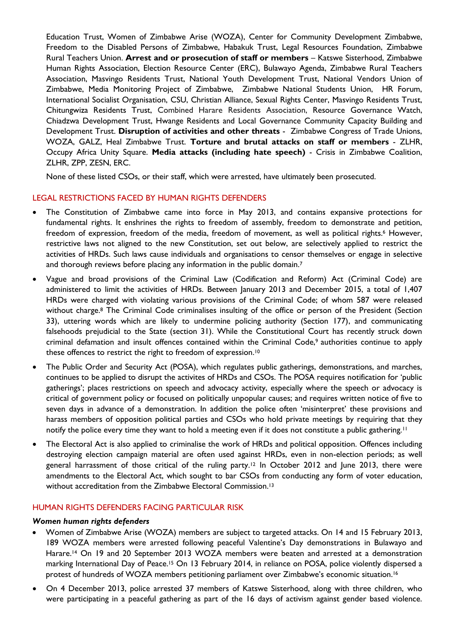Education Trust, Women of Zimbabwe Arise (WOZA), Center for Community Development Zimbabwe, Freedom to the Disabled Persons of Zimbabwe, Habakuk Trust, Legal Resources Foundation, Zimbabwe Rural Teachers Union. **Arrest and or prosecution of staff or members** – Katswe Sisterhood, Zimbabwe Human Rights Association, Election Resource Center (ERC), Bulawayo Agenda, Zimbabwe Rural Teachers Association, Masvingo Residents Trust, National Youth Development Trust, National Vendors Union of Zimbabwe, Media Monitoring Project of Zimbabwe, Zimbabwe National Students Union, HR Forum, International Socialist Organisation, CSU, Christian Alliance, Sexual Rights Center, Masvingo Residents Trust, Chitungwiza Residents Trust, Combined Harare Residents Association, Resource Governance Watch, Chiadzwa Development Trust, Hwange Residents and Local Governance Community Capacity Building and Development Trust. **Disruption of activities and other threats** - Zimbabwe Congress of Trade Unions, WOZA, GALZ, Heal Zimbabwe Trust. **Torture and brutal attacks on staff or members** - ZLHR, Occupy Africa Unity Square. **Media attacks (including hate speech)** - Crisis in Zimbabwe Coalition, ZLHR, ZPP, ZESN, ERC.

None of these listed CSOs, or their staff, which were arrested, have ultimately been prosecuted.

# LEGAL RESTRICTIONS FACED BY HUMAN RIGHTS DEFENDERS

- The Constitution of Zimbabwe came into force in May 2013, and contains expansive protections for fundamental rights. It enshrines the rights to freedom of assembly, freedom to demonstrate and petition, freedom of expression, freedom of the media, freedom of movement, as well as political rights.<sup>6</sup> However, restrictive laws not aligned to the new Constitution, set out below, are selectively applied to restrict the activities of HRDs. Such laws cause individuals and organisations to censor themselves or engage in selective and thorough reviews before placing any information in the public domain.<sup>7</sup>
- Vague and broad provisions of the Criminal Law (Codification and Reform) Act (Criminal Code) are administered to limit the activities of HRDs. Between January 2013 and December 2015, a total of 1,407 HRDs were charged with violating various provisions of the Criminal Code; of whom 587 were released without charge.<sup>8</sup> The Criminal Code criminalises insulting of the office or person of the President (Section 33), uttering words which are likely to undermine policing authority (Section 177), and communicating falsehoods prejudicial to the State (section 31). While the Constitutional Court has recently struck down criminal defamation and insult offences contained within the Criminal Code,<sup>9</sup> authorities continue to apply these offences to restrict the right to freedom of expression.<sup>10</sup>
- The Public Order and Security Act (POSA), which regulates public gatherings, demonstrations, and marches, continues to be applied to disrupt the activites of HRDs and CSOs. The POSA requires notification for 'public gatherings'; places restrictions on speech and advocacy activity, especially where the speech or advocacy is critical of government policy or focused on politically unpopular causes; and requires written notice of five to seven days in advance of a demonstration. In addition the police often 'misinterpret' these provisions and harass members of opposition political parties and CSOs who hold private meetings by requiring that they notify the police every time they want to hold a meeting even if it does not constitute a public gathering.<sup>11</sup>
- The Electoral Act is also applied to criminalise the work of HRDs and political opposition. Offences including destroying election campaign material are often used against HRDs, even in non-election periods; as well general harrassment of those critical of the ruling party.<sup>12</sup> In October 2012 and June 2013, there were amendments to the Electoral Act, which sought to bar CSOs from conducting any form of voter education, without accreditation from the Zimbabwe Electoral Commission.<sup>13</sup>

## HUMAN RIGHTS DEFENDERS FACING PARTICULAR RISK

#### *Women human rights defenders*

- Women of Zimbabwe Arise (WOZA) members are subject to targeted attacks. On 14 and 15 February 2013, 189 WOZA members were arrested following peaceful Valentine's Day demonstrations in Bulawayo and Harare.<sup>14</sup> On 19 and 20 September 2013 WOZA members were beaten and arrested at a demonstration marking International Day of Peace.<sup>15</sup> On 13 February 2014, in reliance on POSA, police violently dispersed a protest of hundreds of WOZA members petitioning parliament over Zimbabwe's economic situation. 16
- On 4 December 2013, police arrested 37 members of Katswe Sisterhood, along with three children, who were participating in a peaceful gathering as part of the 16 days of activism against gender based violence.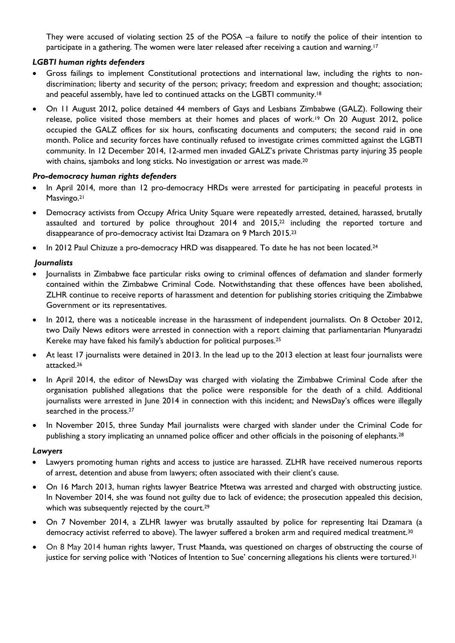They were accused of violating section 25 of the POSA –a failure to notify the police of their intention to participate in a gathering. The women were later released after receiving a caution and warning.<sup>17</sup>

# *LGBTI human rights defenders*

- Gross failings to implement Constitutional protections and international law, including the rights to nondiscrimination; liberty and security of the person; privacy; freedom and expression and thought; association; and peaceful assembly, have led to continued attacks on the LGBTI community.<sup>18</sup>
- On 11 August 2012, police detained 44 members of Gays and Lesbians Zimbabwe (GALZ). Following their release, police visited those members at their homes and places of work.<sup>19</sup> On 20 August 2012, police occupied the GALZ offices for six hours, confiscating documents and computers; the second raid in one month. Police and security forces have continually refused to investigate crimes committed against the LGBTI community. In 12 December 2014, 12-armed men invaded GALZ's private Christmas party injuring 35 people with chains, sjamboks and long sticks. No investigation or arrest was made.<sup>20</sup>

### *Pro-democracy human rights defenders*

- In April 2014, more than 12 pro-democracy HRDs were arrested for participating in peaceful protests in Masvingo.<sup>21</sup>
- Democracy activists from Occupy Africa Unity Square were repeatedly arrested, detained, harassed, brutally assaulted and tortured by police throughout 2014 and 2015, <sup>22</sup> including the reported torture and disappearance of pro-democracy activist Itai Dzamara on 9 March 2015. 23
- In 2012 Paul Chizuze a pro-democracy HRD was disappeared. To date he has not been located.<sup>24</sup>

### *Journalists*

- Journalists in Zimbabwe face particular risks owing to criminal offences of defamation and slander formerly contained within the Zimbabwe Criminal Code. Notwithstanding that these offences have been abolished, ZLHR continue to receive reports of harassment and detention for publishing stories critiquing the Zimbabwe Government or its representatives.
- In 2012, there was a noticeable increase in the harassment of independent journalists. On 8 October 2012, two Daily News editors were arrested in connection with a report claiming that parliamentarian Munyaradzi Kereke may have faked his family's abduction for political purposes.<sup>25</sup>
- At least 17 journalists were detained in 2013. In the lead up to the 2013 election at least four journalists were attacked.<sup>26</sup>
- In April 2014, the editor of NewsDay was charged with violating the Zimbabwe Criminal Code after the organisation published allegations that the police were responsible for the death of a child. Additional journalists were arrested in June 2014 in connection with this incident; and NewsDay's offices were illegally searched in the process.<sup>27</sup>
- In November 2015, three Sunday Mail journalists were charged with slander under the Criminal Code for publishing a story implicating an unnamed police officer and other officials in the poisoning of elephants. 28

#### *Lawyers*

- Lawyers promoting human rights and access to justice are harassed. ZLHR have received numerous reports of arrest, detention and abuse from lawyers; often associated with their client's cause.
- On 16 March 2013, human rights lawyer Beatrice Mtetwa was arrested and charged with obstructing justice. In November 2014, she was found not guilty due to lack of evidence; the prosecution appealed this decision, which was subsequently rejected by the court.<sup>29</sup>
- On 7 November 2014, a ZLHR lawyer was brutally assaulted by police for representing Itai Dzamara (a democracy activist referred to above). The lawyer suffered a broken arm and required medical treatment.<sup>30</sup>
- On 8 May 2014 human rights lawyer, Trust Maanda, was questioned on charges of obstructing the course of justice for serving police with 'Notices of Intention to Sue' concerning allegations his clients were tortured.<sup>31</sup>